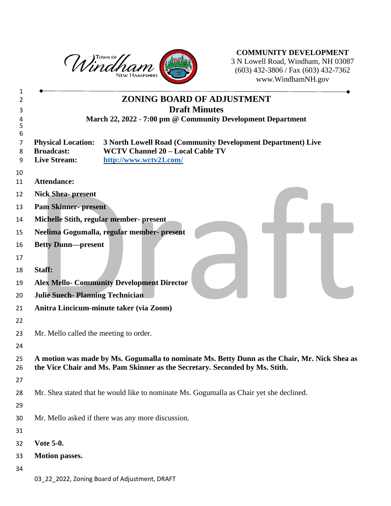

**COMMUNITY DEVELOPMENT** N Lowell Road, Windham, NH 03087 (603) 432-3806 / Fax (603) 432-7362 www.WindhamNH.gov

|                                                                       | <b>ZONING BOARD OF ADJUSTMENT</b>                                                                                                                                           |
|-----------------------------------------------------------------------|-----------------------------------------------------------------------------------------------------------------------------------------------------------------------------|
|                                                                       | <b>Draft Minutes</b>                                                                                                                                                        |
|                                                                       | March 22, 2022 - 7:00 pm @ Community Development Department                                                                                                                 |
| <b>Physical Location:</b><br><b>Broadcast:</b><br><b>Live Stream:</b> | <b>3 North Lowell Road (Community Development Department) Live</b><br><b>WCTV Channel 20 - Local Cable TV</b><br>http://www.wctv21.com/                                     |
| <b>Attendance:</b>                                                    |                                                                                                                                                                             |
| <b>Nick Shea-present</b>                                              |                                                                                                                                                                             |
| <b>Pam Skinner- present</b>                                           |                                                                                                                                                                             |
|                                                                       | Michelle Stith, regular member- present                                                                                                                                     |
|                                                                       | Neelima Gogumalla, regular member- present                                                                                                                                  |
| <b>Betty Dunn-present</b>                                             |                                                                                                                                                                             |
|                                                                       |                                                                                                                                                                             |
| Staff:                                                                |                                                                                                                                                                             |
|                                                                       | <b>Alex Mello- Community Development Director</b>                                                                                                                           |
| <b>Julie Suech-Planning Technician</b>                                |                                                                                                                                                                             |
|                                                                       | Anitra Lincicum-minute taker (via Zoom)                                                                                                                                     |
|                                                                       |                                                                                                                                                                             |
| Mr. Mello called the meeting to order.                                |                                                                                                                                                                             |
|                                                                       |                                                                                                                                                                             |
|                                                                       | A motion was made by Ms. Gogumalla to nominate Ms. Betty Dunn as the Chair, Mr. Nick Shea as<br>the Vice Chair and Ms. Pam Skinner as the Secretary. Seconded by Ms. Stith. |
|                                                                       |                                                                                                                                                                             |
|                                                                       | Mr. Shea stated that he would like to nominate Ms. Gogumalla as Chair yet she declined.                                                                                     |
|                                                                       |                                                                                                                                                                             |
|                                                                       | Mr. Mello asked if there was any more discussion.                                                                                                                           |
|                                                                       |                                                                                                                                                                             |
| <b>Vote 5-0.</b>                                                      |                                                                                                                                                                             |
| <b>Motion passes.</b>                                                 |                                                                                                                                                                             |
|                                                                       |                                                                                                                                                                             |
|                                                                       | 03_22_2022, Zoning Board of Adjustment, DRAFT                                                                                                                               |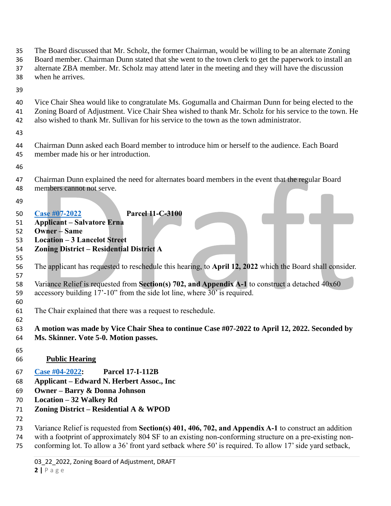- The Board discussed that Mr. Scholz, the former Chairman, would be willing to be an alternate Zoning
- Board member. Chairman Dunn stated that she went to the town clerk to get the paperwork to install an
- alternate ZBA member. Mr. Scholz may attend later in the meeting and they will have the discussion
- when he arrives.
- 
- Vice Chair Shea would like to congratulate Ms. Gogumalla and Chairman Dunn for being elected to the Zoning Board of Adjustment. Vice Chair Shea wished to thank Mr. Scholz for his service to the town. He also wished to thank Mr. Sullivan for his service to the town as the town administrator.
- 
- Chairman Dunn asked each Board member to introduce him or herself to the audience. Each Board member made his or her introduction.
- 
- Chairman Dunn explained the need for alternates board members in the event that the regular Board members cannot not serve.
- 

## **[Case #07-2022](https://www.windhamnh.gov/DocumentCenter/Index/932) Parcel 11-C-3100**

- **Applicant – Salvatore Erna**
- **Owner – Same**
- **Location – 3 Lancelot Street**
- **Zoning District – Residential District A**
- The applicant has requested to reschedule this hearing, to **April 12, 2022** which the Board shall consider.
- Variance Relief is requested from **Section(s) 702, and Appendix A-1** to construct a detached 40x60 accessory building 17'-10" from the side lot line, where 30' is required.
- The Chair explained that there was a request to reschedule.
- **A motion was made by Vice Chair Shea to continue Case #07-2022 to April 12, 2022. Seconded by Ms. Skinner. Vote 5-0. Motion passes.**
- 

- **Public Hearing**
- **[Case #04-2022:](https://www.windhamnh.gov/DocumentCenter/Index/915) Parcel 17-I-112B**
- **Applicant – Edward N. Herbert Assoc., Inc**
- **Owner – Barry & Donna Johnson**
- **Location – 32 Walkey Rd**
- **Zoning District – Residential A & WPOD**
- 
- Variance Relief is requested from **Section(s) 401, 406, 702, and Appendix A-1** to construct an addition
- with a footprint of approximately 804 SF to an existing non-conforming structure on a pre-existing non-
- conforming lot. To allow a 36' front yard setback where 50' is required. To allow 17' side yard setback,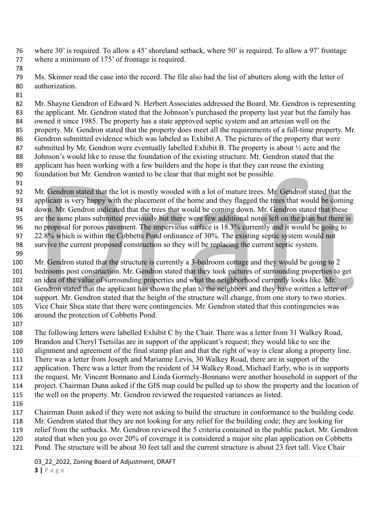- where 30' is required. To allow a 45' shoreland setback, where 50' is required. To allow a 97' frontage where a minimum of 175' of frontage is required.
- Ms. Skinner read the case into the record. The file also had the list of abutters along with the letter of authorization.
- 

 Mr. Shayne Gendron of Edward N. Herbert Associates addressed the Board. Mr. Gendron is representing the applicant. Mr. Gendron stated that the Johnson's purchased the property last year but the family has owned it since 1985. The property has a state approved septic system and an artesian well on the property. Mr. Gendron stated that the property does meet all the requirements of a full-time property. Mr. Gendron submitted evidence which was labeled as Exhibit A. The pictures of the property that were 87 submitted by Mr. Gendron were eventually labelled Exhibit B. The property is about  $\frac{1}{2}$  acre and the Johnson's would like to reuse the foundation of the existing structure. Mr. Gendron stated that the applicant has been working with a few builders and the hope is that they can reuse the existing foundation but Mr. Gendron wanted to be clear that that might not be possible.

 Mr. Gendron stated that the lot is mostly wooded with a lot of mature trees. Mr. Gendron stated that the applicant is very happy with the placement of the home and they flagged the trees that would be coming down. Mr. Gendron indicated that the trees that would be coming down. Mr. Gendron stated that these are the same plans submitted previously but there were few additional notes left on the plan but there is no proposal for porous pavement. The impervious surface is 18.3% currently and it would be going to 22.8% which is within the Cobbetts Pond ordinance of 30%. The existing septic system would not survive the current proposed construction so they will be replacing the current septic system. 

- Mr. Gendron stated that the structure is currently a 3-bedroom cottage and they would be going to 2 bedrooms post construction. Mr. Gendron stated that they took pictures of surrounding properties to get an idea of the value of surrounding properties and what the neighborhood currently looks like. Mr. Gendron stated that the applicant has shown the plan to the neighbors and they have written a letter of support. Mr. Gendron stated that the height of the structure will change, from one story to two stories. Vice Chair Shea state that there were contingencies. Mr. Gendron stated that this contingencies was around the protection of Cobbetts Pond.
- 

 The following letters were labelled Exhibit C by the Chair. There was a letter from 31 Walkey Road, Brandon and Cheryl Tsetsilas are in support of the applicant's request; they would like to see the alignment and agreement of the final stamp plan and that the right of way is clear along a property line. There was a letter from Joseph and Marianne Levis, 30 Walkey Road, there are in support of the application. There was a letter from the resident of 34 Walkey Road, Michael Early, who is in supports the request. Mr. Vincent Bonnano and Linda Gormely-Bonnano were another household in support of the project. Chairman Dunn asked if the GIS map could be pulled up to show the property and the location of the well on the property. Mr. Gendron reviewed the requested variances as listed. 

 Chairman Dunn asked if they were not asking to build the structure in conformance to the building code. Mr. Gendron stated that they are not looking for any relief for the building code; they are looking for relief from the setbacks. Mr. Gendron reviewed the 5 criteria contained in the public packet. Mr. Gendron stated that when you go over 20% of coverage it is considered a major site plan application on Cobbetts Pond. The structure will be about 30 feet tall and the current structure is about 23 feet tall. Vice Chair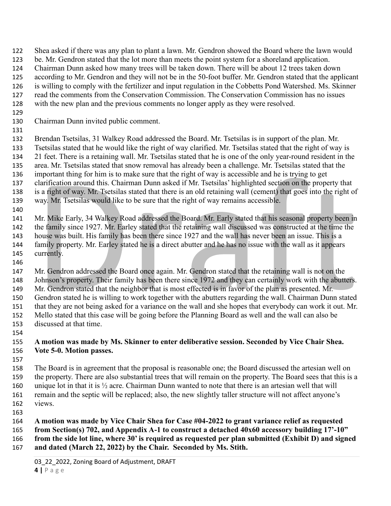Shea asked if there was any plan to plant a lawn. Mr. Gendron showed the Board where the lawn would

- be. Mr. Gendron stated that the lot more than meets the point system for a shoreland application.
- Chairman Dunn asked how many trees will be taken down. There will be about 12 trees taken down
- according to Mr. Gendron and they will not be in the 50-foot buffer. Mr. Gendron stated that the applicant
- is willing to comply with the fertilizer and input regulation in the Cobbetts Pond Watershed. Ms. Skinner read the comments from the Conservation Commission. The Conservation Commission has no issues
- with the new plan and the previous comments no longer apply as they were resolved.
- 
- Chairman Dunn invited public comment.
- 

 Brendan Tsetsilas, 31 Walkey Road addressed the Board. Mr. Tsetsilas is in support of the plan. Mr. Tsetsilas stated that he would like the right of way clarified. Mr. Tsetsilas stated that the right of way is 21 feet. There is a retaining wall. Mr. Tsetsilas stated that he is one of the only year-round resident in the area. Mr. Tsetsilas stated that snow removal has already been a challenge. Mr. Tsetsilas stated that the important thing for him is to make sure that the right of way is accessible and he is trying to get clarification around this. Chairman Dunn asked if Mr. Tsetsilas' highlighted section on the property that is a right of way. Mr. Tsetsilas stated that there is an old retaining wall (cement) that goes into the right of way. Mr. Tsetsilas would like to be sure that the right of way remains accessible.

 Mr. Mike Early, 34 Walkey Road addressed the Board. Mr. Early stated that his seasonal property been in the family since 1927. Mr. Earley stated that the retaining wall discussed was constructed at the time the house was built. His family has been there since 1927 and the wall has never been an issue. This is a family property. Mr. Earley stated he is a direct abutter and he has no issue with the wall as it appears currently.

 Mr. Gendron addressed the Board once again. Mr. Gendron stated that the retaining wall is not on the 148 Johnson's property. Their family has been there since 1972 and they can certainly work with the abutters. Mr. Gendron stated that the neighbor that is most effected is in favor of the plan as presented. Mr. Gendron stated he is willing to work together with the abutters regarding the wall. Chairman Dunn stated that they are not being asked for a variance on the wall and she hopes that everybody can work it out. Mr. Mello stated that this case will be going before the Planning Board as well and the wall can also be discussed at that time.

- **A motion was made by Ms. Skinner to enter deliberative session. Seconded by Vice Chair Shea. Vote 5-0. Motion passes.** 
	-

 The Board is in agreement that the proposal is reasonable one; the Board discussed the artesian well on the property. There are also substantial trees that will remain on the property. The Board sees that this is a 160 unique lot in that it is  $\frac{1}{2}$  acre. Chairman Dunn wanted to note that there is an artesian well that will remain and the septic will be replaced; also, the new slightly taller structure will not affect anyone's views.

 **A motion was made by Vice Chair Shea for Case #04-2022 to grant variance relief as requested from Section(s) 702, and Appendix A-1 to construct a detached 40x60 accessory building 17'-10" from the side lot line, where 30' is required as requested per plan submitted (Exhibit D) and signed and dated (March 22, 2022) by the Chair. Seconded by Ms. Stith.**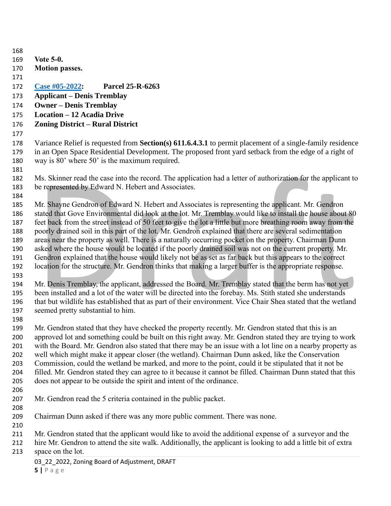| 168 |                                                                                                                  |  |
|-----|------------------------------------------------------------------------------------------------------------------|--|
| 169 | <b>Vote 5-0.</b>                                                                                                 |  |
| 170 | <b>Motion passes.</b>                                                                                            |  |
| 171 |                                                                                                                  |  |
| 172 | Case #05-2022:<br><b>Parcel 25-R-6263</b>                                                                        |  |
| 173 | <b>Applicant – Denis Tremblay</b>                                                                                |  |
| 174 | <b>Owner – Denis Tremblay</b>                                                                                    |  |
| 175 | <b>Location - 12 Acadia Drive</b>                                                                                |  |
| 176 | <b>Zoning District - Rural District</b>                                                                          |  |
| 177 |                                                                                                                  |  |
| 178 | Variance Relief is requested from <b>Section(s) 611.6.4.3.1</b> to permit placement of a single-family residence |  |
| 179 | in an Open Space Residential Development. The proposed front yard setback from the edge of a right of            |  |
| 180 | way is 80' where 50' is the maximum required.                                                                    |  |
| 181 |                                                                                                                  |  |
| 182 | Ms. Skinner read the case into the record. The application had a letter of authorization for the applicant to    |  |
| 183 | be represented by Edward N. Hebert and Associates.                                                               |  |
| 184 |                                                                                                                  |  |
| 185 | Mr. Shayne Gendron of Edward N. Hebert and Associates is representing the applicant. Mr. Gendron                 |  |
| 186 | stated that Gove Environmental did look at the lot. Mr. Tremblay would like to install the house about 80        |  |
| 187 | feet back from the street instead of 50 feet to give the lot a little but more breathing room away from the      |  |
| 188 | poorly drained soil in this part of the lot. Mr. Gendron explained that there are several sedimentation          |  |
| 189 | areas near the property as well. There is a naturally occurring pocket on the property. Chairman Dunn            |  |
| 190 | asked where the house would be located if the poorly drained soil was not on the current property. Mr.           |  |
| 191 | Gendron explained that the house would likely not be as set as far back but this appears to the correct          |  |
| 192 | location for the structure. Mr. Gendron thinks that making a larger buffer is the appropriate response.          |  |
| 193 |                                                                                                                  |  |
| 194 | Mr. Denis Tremblay, the applicant, addressed the Board. Mr. Tremblay stated that the berm has not yet            |  |
| 195 | been installed and a lot of the water will be directed into the forebay. Ms. Stith stated she understands        |  |
| 196 | that but wildlife has established that as part of their environment. Vice Chair Shea stated that the wetland     |  |
| 197 | seemed pretty substantial to him.                                                                                |  |
| 198 |                                                                                                                  |  |
| 199 | Mr. Gendron stated that they have checked the property recently. Mr. Gendron stated that this is an              |  |
| 200 | approved lot and something could be built on this right away. Mr. Gendron stated they are trying to work         |  |
| 201 | with the Board. Mr. Gendron also stated that there may be an issue with a lot line on a nearby property as       |  |
| 202 | well which might make it appear closer (the wetland). Chairman Dunn asked, like the Conservation                 |  |
| 203 | Commission, could the wetland be marked, and more to the point, could it be stipulated that it not be            |  |
| 204 | filled. Mr. Gendron stated they can agree to it because it cannot be filled. Chairman Dunn stated that this      |  |
| 205 | does not appear to be outside the spirit and intent of the ordinance.                                            |  |
| 206 |                                                                                                                  |  |
| 207 | Mr. Gendron read the 5 criteria contained in the public packet.                                                  |  |
| 208 |                                                                                                                  |  |
| 209 | Chairman Dunn asked if there was any more public comment. There was none.                                        |  |
| 210 |                                                                                                                  |  |
| 211 | Mr. Gendron stated that the applicant would like to avoid the additional expense of a surveyor and the           |  |
| 212 | hire Mr. Gendron to attend the site walk. Additionally, the applicant is looking to add a little bit of extra    |  |
| 213 | space on the lot.                                                                                                |  |
|     | 03_22_2022, Zoning Board of Adjustment, DRAFT                                                                    |  |
|     | 5 Page                                                                                                           |  |
|     |                                                                                                                  |  |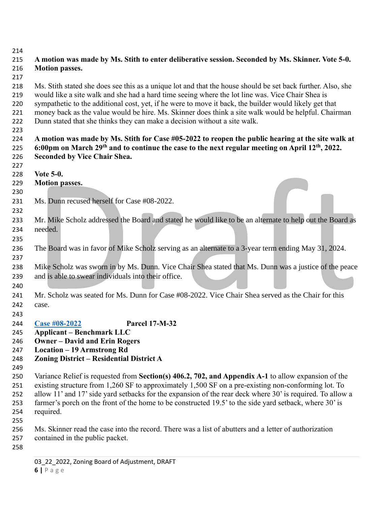## 

## **A motion was made by Ms. Stith to enter deliberative session. Seconded by Ms. Skinner. Vote 5-0. Motion passes.**

 Ms. Stith stated she does see this as a unique lot and that the house should be set back further. Also, she would like a site walk and she had a hard time seeing where the lot line was. Vice Chair Shea is sympathetic to the additional cost, yet, if he were to move it back, the builder would likely get that money back as the value would be hire. Ms. Skinner does think a site walk would be helpful. Chairman Dunn stated that she thinks they can make a decision without a site walk.

 **A motion was made by Ms. Stith for Case #05-2022 to reopen the public hearing at the site walk at 6:00pm on March 29th and to continue the case to the next regular meeting on April 12th , 2022. Seconded by Vice Chair Shea.** 

- **Vote 5-0.**
- **Motion passes.**
- 231 Ms. Dunn recused herself for Case #08-2022.
- 233 Mr. Mike Scholz addressed the Board and stated he would like to be an alternate to help out the Board as needed.
- The Board was in favor of Mike Scholz serving as an alternate to a 3-year term ending May 31, 2024.
- Mike Scholz was sworn in by Ms. Dunn. Vice Chair Shea stated that Ms. Dunn was a justice of the peace and is able to swear individuals into their office.
- Mr. Scholz was seated for Ms. Dunn for Case #08-2022. Vice Chair Shea served as the Chair for this case.
- **[Case #08-2022](https://www.windhamnh.gov/DocumentCenter/Index/924) Parcel 17-M-32**
- **Applicant – Benchmark LLC**
- **Owner – David and Erin Rogers**
- **Location – 19 Armstrong Rd**
- **Zoning District – Residential District A**
- 
- Variance Relief is requested from **Section(s) 406.2, 702, and Appendix A-1** to allow expansion of the existing structure from 1,260 SF to approximately 1,500 SF on a pre-existing non-conforming lot. To 252 allow 11' and 17' side yard setbacks for the expansion of the rear deck where 30' is required. To allow a farmer's porch on the front of the home to be constructed 19.5' to the side yard setback, where 30' is required.
- 

 Ms. Skinner read the case into the record. There was a list of abutters and a letter of authorization contained in the public packet.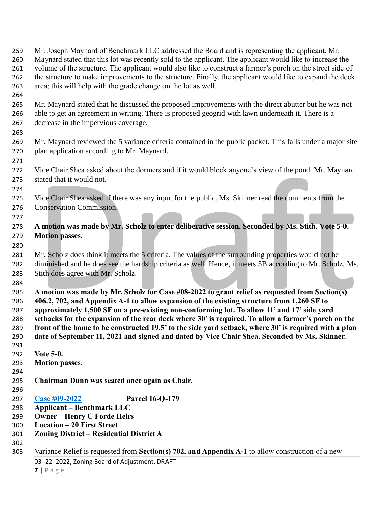03 22 2022, Zoning Board of Adjustment, DRAFT **|** P a g e Mr. Joseph Maynard of Benchmark LLC addressed the Board and is representing the applicant. Mr. Maynard stated that this lot was recently sold to the applicant. The applicant would like to increase the volume of the structure. The applicant would also like to construct a farmer's porch on the street side of 262 the structure to make improvements to the structure. Finally, the applicant would like to expand the deck area; this will help with the grade change on the lot as well. Mr. Maynard stated that he discussed the proposed improvements with the direct abutter but he was not able to get an agreement in writing. There is proposed geogrid with lawn underneath it. There is a decrease in the impervious coverage. Mr. Maynard reviewed the 5 variance criteria contained in the public packet. This falls under a major site plan application according to Mr. Maynard. Vice Chair Shea asked about the dormers and if it would block anyone's view of the pond. Mr. Maynard stated that it would not. Vice Chair Shea asked if there was any input for the public. Ms. Skinner read the comments from the Conservation Commission. **A motion was made by Mr. Scholz to enter deliberative session. Seconded by Ms. Stith. Vote 5-0. Motion passes.**  Mr. Scholz does think it meets the 5 criteria. The values of the surrounding properties would not be diminished and he does see the hardship criteria as well. Hence, it meets 5B according to Mr. Scholz. Ms. Stith does agree with Mr. Scholz. **A motion was made by Mr. Scholz for Case #08-2022 to grant relief as requested from Section(s) 406.2, 702, and Appendix A-1 to allow expansion of the existing structure from 1,260 SF to approximately 1,500 SF on a pre-existing non-conforming lot. To allow 11' and 17' side yard setbacks for the expansion of the rear deck where 30' is required. To allow a farmer's porch on the front of the home to be constructed 19.5' to the side yard setback, where 30' is required with a plan date of September 11, 2021 and signed and dated by Vice Chair Shea. Seconded by Ms. Skinner. Vote 5-0. Motion passes. Chairman Dunn was seated once again as Chair. [Case #09-2022](https://www.windhamnh.gov/DocumentCenter/Index/921) Parcel 16-Q-179 Applicant – Benchmark LLC Owner – Henry C Forde Heirs Location – 20 First Street Zoning District – Residential District A** Variance Relief is requested from **Section(s) 702, and Appendix A-1** to allow construction of a new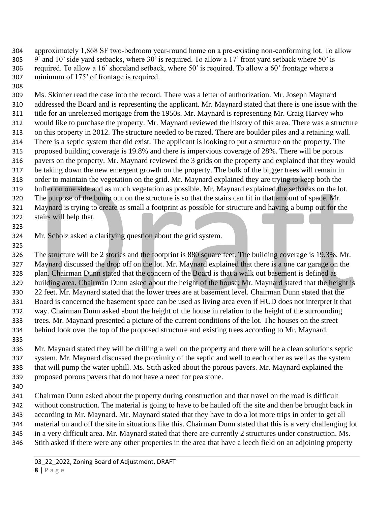approximately 1,868 SF two-bedroom year-round home on a pre-existing non-conforming lot. To allow 9' and 10' side yard setbacks, where 30' is required. To allow a 17' front yard setback where 50' is required. To allow a 16' shoreland setback, where 50' is required. To allow a 60' frontage where a minimum of 175' of frontage is required.

 Ms. Skinner read the case into the record. There was a letter of authorization. Mr. Joseph Maynard addressed the Board and is representing the applicant. Mr. Maynard stated that there is one issue with the title for an unreleased mortgage from the 1950s. Mr. Maynard is representing Mr. Craig Harvey who would like to purchase the property. Mr. Maynard reviewed the history of this area. There was a structure on this property in 2012. The structure needed to be razed. There are boulder piles and a retaining wall. There is a septic system that did exist. The applicant is looking to put a structure on the property. The proposed building coverage is 19.8% and there is impervious coverage of 28%. There will be porous pavers on the property. Mr. Maynard reviewed the 3 grids on the property and explained that they would be taking down the new emergent growth on the property. The bulk of the bigger trees will remain in order to maintain the vegetation on the grid. Mr. Maynard explained they are trying to keep both the buffer on one side and as much vegetation as possible. Mr. Maynard explained the setbacks on the lot. The purpose of the bump out on the structure is so that the stairs can fit in that amount of space. Mr. Maynard is trying to create as small a footprint as possible for structure and having a bump out for the stairs will help that.

Mr. Scholz asked a clarifying question about the grid system.

- The structure will be 2 stories and the footprint is 880 square feet. The building coverage is 19.3%. Mr. Maynard discussed the drop off on the lot. Mr. Maynard explained that there is a one car garage on the plan. Chairman Dunn stated that the concern of the Board is that a walk out basement is defined as building area. Chairman Dunn asked about the height of the house; Mr. Maynard stated that the height is 22 feet. Mr. Maynard stated that the lower trees are at basement level. Chairman Dunn stated that the Board is concerned the basement space can be used as living area even if HUD does not interpret it that way. Chairman Dunn asked about the height of the house in relation to the height of the surrounding trees. Mr. Maynard presented a picture of the current conditions of the lot. The houses on the street behind look over the top of the proposed structure and existing trees according to Mr. Maynard.
- Mr. Maynard stated they will be drilling a well on the property and there will be a clean solutions septic system. Mr. Maynard discussed the proximity of the septic and well to each other as well as the system that will pump the water uphill. Ms. Stith asked about the porous pavers. Mr. Maynard explained the proposed porous pavers that do not have a need for pea stone.
- 

 Chairman Dunn asked about the property during construction and that travel on the road is difficult without construction. The material is going to have to be hauled off the site and then be brought back in according to Mr. Maynard. Mr. Maynard stated that they have to do a lot more trips in order to get all material on and off the site in situations like this. Chairman Dunn stated that this is a very challenging lot in a very difficult area. Mr. Maynard stated that there are currently 2 structures under construction. Ms. Stith asked if there were any other properties in the area that have a leech field on an adjoining property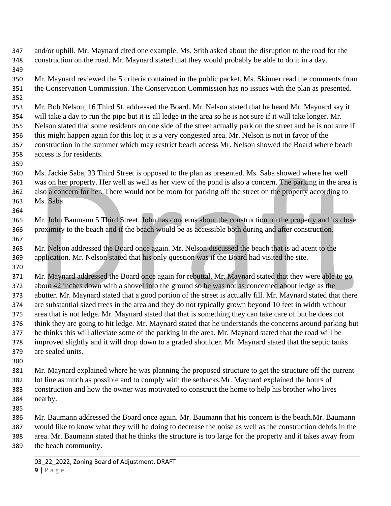and/or uphill. Mr. Maynard cited one example. Ms. Stith asked about the disruption to the road for the construction on the road. Mr. Maynard stated that they would probably be able to do it in a day. Mr. Maynard reviewed the 5 criteria contained in the public packet. Ms. Skinner read the comments from the Conservation Commission. The Conservation Commission has no issues with the plan as presented. Mr. Bob Nelson, 16 Third St. addressed the Board. Mr. Nelson stated that he heard Mr. Maynard say it will take a day to run the pipe but it is all ledge in the area so he is not sure if it will take longer. Mr. Nelson stated that some residents on one side of the street actually park on the street and he is not sure if this might happen again for this lot; it is a very congested area. Mr. Nelson is not in favor of the construction in the summer which may restrict beach access Mr. Nelson showed the Board where beach access is for residents. Ms. Jackie Saba, 33 Third Street is opposed to the plan as presented. Ms. Saba showed where her well was on her property. Her well as well as her view of the pond is also a concern. The parking in the area is also a concern for her. There would not be room for parking off the street on the property according to Ms. Saba. Mr. John Baumann 5 Third Street. John has concerns about the construction on the property and its close proximity to the beach and if the beach would be as accessible both during and after construction. Mr. Nelson addressed the Board once again. Mr. Nelson discussed the beach that is adjacent to the application. Mr. Nelson stated that his only question was if the Board had visited the site. Mr. Maynard addressed the Board once again for rebuttal. Mr. Maynard stated that they were able to go about 42 inches down with a shovel into the ground so he was not as concerned about ledge as the abutter. Mr. Maynard stated that a good portion of the street is actually fill. Mr. Maynard stated that there are substantial sized trees in the area and they do not typically grown beyond 10 feet in width without area that is not ledge. Mr. Maynard stated that that is something they can take care of but he does not think they are going to hit ledge. Mr. Maynard stated that he understands the concerns around parking but he thinks this will alleviate some of the parking in the area. Mr. Maynard stated that the road will be improved slightly and it will drop down to a graded shoulder. Mr. Maynard stated that the septic tanks are sealed units. Mr. Maynard explained where he was planning the proposed structure to get the structure off the current lot line as much as possible and to comply with the setbacks.Mr. Maynard explained the hours of construction and how the owner was motivated to construct the home to help his brother who lives nearby. Mr. Baumann addressed the Board once again. Mr. Baumann that his concern is the beach.Mr. Baumann

 would like to know what they will be doing to decrease the noise as well as the construction debris in the area. Mr. Baumann stated that he thinks the structure is too large for the property and it takes away from the beach community.